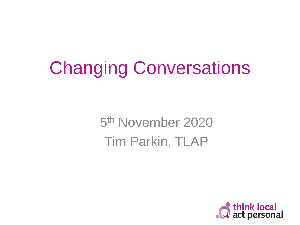## Changing Conversations

5<sup>th</sup> November 2020 Tim Parkin, TLAP

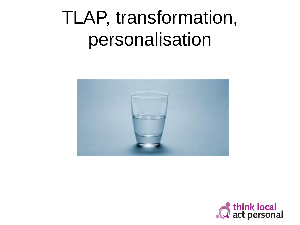### TLAP, transformation, personalisation



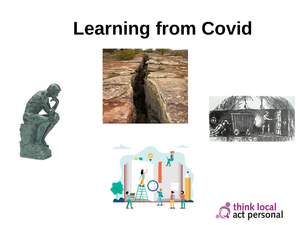## **Learning from Covid**









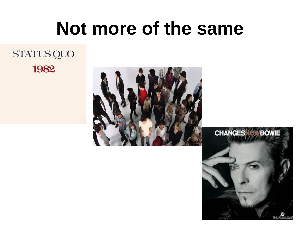### **Not more of the same**

### STATUS QUO 1982



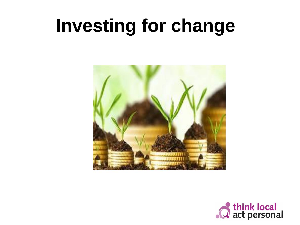### **Investing for change**



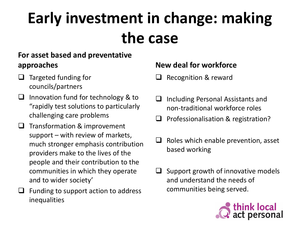### **Early investment in change: making the case**

#### **For asset based and preventative approaches**

- ❑ Targeted funding for councils/partners
- ❑ Innovation fund for technology & to "rapidly test solutions to particularly challenging care problems
- ❑ Transformation & improvement support – with review of markets, much stronger emphasis contribution providers make to the lives of the people and their contribution to the communities in which they operate and to wider society'
	- ❑ Funding to support action to address inequalities

#### **New deal for workforce**

- ❑ Recognition & reward
- ❑ Including Personal Assistants and non-traditional workforce roles
- ❑ Professionalisation & registration?
- $\Box$  Roles which enable prevention, asset based working
- $\Box$  Support growth of innovative models and understand the needs of communities being served.

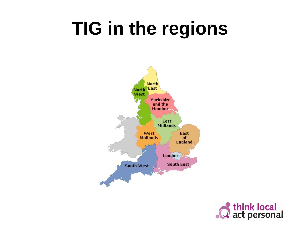### **TIG in the regions**



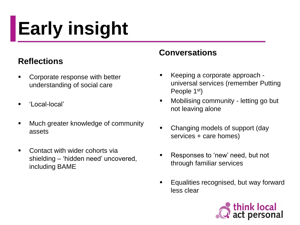# **Early insight**

#### **Reflections**

- **EXECOPEDATE:** Corporate response with better understanding of social care
- 'Local-local'
- Much greater knowledge of community assets
- Contact with wider cohorts via shielding – 'hidden need' uncovered, including BAME

#### **Conversations**

- Keeping a corporate approach universal services (remember Putting People 1<sup>st</sup>)
- Mobilising community letting go but not leaving alone
- Changing models of support (day services + care homes)
- Responses to 'new' need, but not through familiar services
- Equalities recognised, but way forward less clear